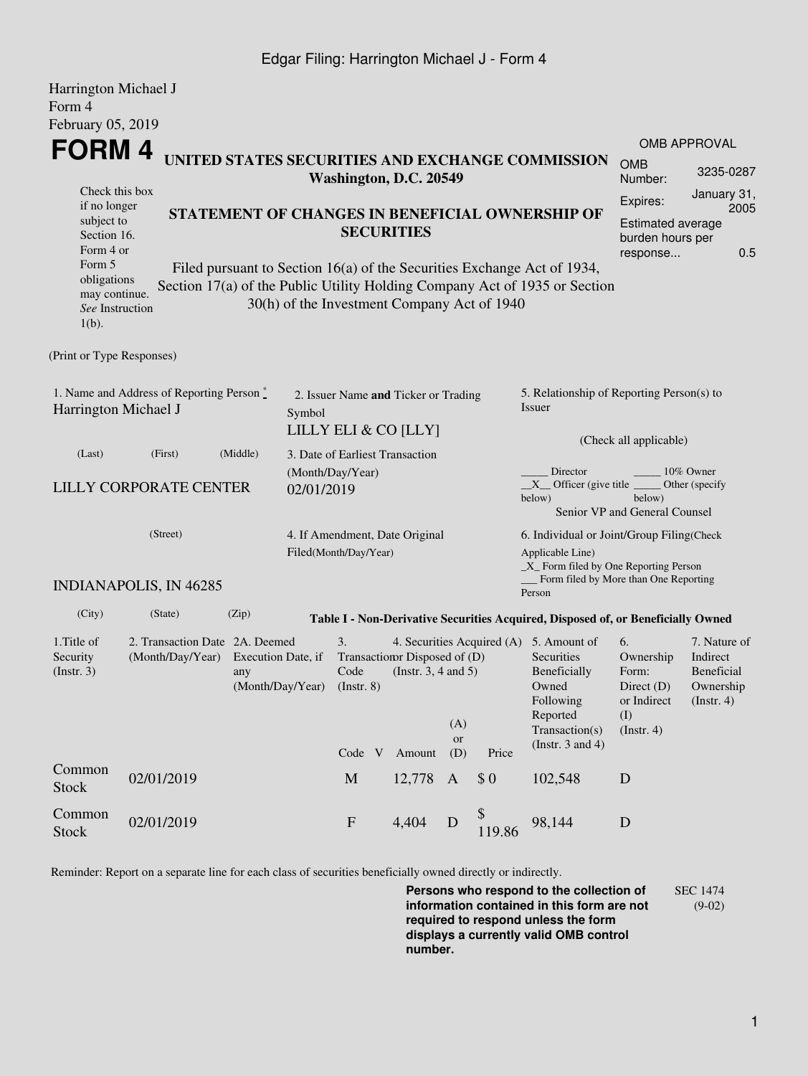## Edgar Filing: Harrington Michael J - Form 4

| Harrington Michael J<br>Form 4                                           |                               |                                                                                                                                                                                                                         |                                 |                                                              |                                                                                                           |                  |                                                                                                                                                                                                                                                                                                      |                                                                                  |                                                                               |                                                                    |  |  |  |
|--------------------------------------------------------------------------|-------------------------------|-------------------------------------------------------------------------------------------------------------------------------------------------------------------------------------------------------------------------|---------------------------------|--------------------------------------------------------------|-----------------------------------------------------------------------------------------------------------|------------------|------------------------------------------------------------------------------------------------------------------------------------------------------------------------------------------------------------------------------------------------------------------------------------------------------|----------------------------------------------------------------------------------|-------------------------------------------------------------------------------|--------------------------------------------------------------------|--|--|--|
| February 05, 2019                                                        |                               |                                                                                                                                                                                                                         |                                 |                                                              |                                                                                                           |                  |                                                                                                                                                                                                                                                                                                      |                                                                                  |                                                                               | <b>OMB APPROVAL</b>                                                |  |  |  |
| <b>FORM4</b>                                                             |                               | UNITED STATES SECURITIES AND EXCHANGE COMMISSION<br>Washington, D.C. 20549                                                                                                                                              |                                 |                                                              |                                                                                                           |                  |                                                                                                                                                                                                                                                                                                      |                                                                                  |                                                                               |                                                                    |  |  |  |
| Check this box<br>if no longer<br>subject to<br>Section 16.<br>Form 4 or |                               | STATEMENT OF CHANGES IN BENEFICIAL OWNERSHIP OF<br><b>SECURITIES</b>                                                                                                                                                    |                                 |                                                              |                                                                                                           |                  |                                                                                                                                                                                                                                                                                                      |                                                                                  |                                                                               |                                                                    |  |  |  |
| Form 5<br>obligations<br>may continue.<br>See Instruction<br>$1(b)$ .    |                               | 0.5<br>response<br>Filed pursuant to Section 16(a) of the Securities Exchange Act of 1934,<br>Section 17(a) of the Public Utility Holding Company Act of 1935 or Section<br>30(h) of the Investment Company Act of 1940 |                                 |                                                              |                                                                                                           |                  |                                                                                                                                                                                                                                                                                                      |                                                                                  |                                                                               |                                                                    |  |  |  |
| (Print or Type Responses)                                                |                               |                                                                                                                                                                                                                         |                                 |                                                              |                                                                                                           |                  |                                                                                                                                                                                                                                                                                                      |                                                                                  |                                                                               |                                                                    |  |  |  |
| 1. Name and Address of Reporting Person*<br>Harrington Michael J         |                               |                                                                                                                                                                                                                         | Symbol                          | 2. Issuer Name and Ticker or Trading<br>LILLY ELI & CO [LLY] |                                                                                                           |                  | 5. Relationship of Reporting Person(s) to<br><b>Issuer</b><br>(Check all applicable)                                                                                                                                                                                                                 |                                                                                  |                                                                               |                                                                    |  |  |  |
| (Last)                                                                   | (First)                       | (Middle)                                                                                                                                                                                                                | 3. Date of Earliest Transaction |                                                              |                                                                                                           |                  |                                                                                                                                                                                                                                                                                                      |                                                                                  |                                                                               |                                                                    |  |  |  |
| <b>LILLY CORPORATE CENTER</b>                                            |                               |                                                                                                                                                                                                                         | 02/01/2019                      | (Month/Day/Year)                                             |                                                                                                           |                  | Director<br>10% Owner<br>$X$ Officer (give title $\overline{\phantom{a}}$<br>Other (specify<br>below)<br>below)<br>Senior VP and General Counsel<br>6. Individual or Joint/Group Filing(Check<br>Applicable Line)<br>_X_ Form filed by One Reporting Person<br>Form filed by More than One Reporting |                                                                                  |                                                                               |                                                                    |  |  |  |
| (Street)                                                                 |                               |                                                                                                                                                                                                                         |                                 | 4. If Amendment, Date Original<br>Filed(Month/Day/Year)      |                                                                                                           |                  |                                                                                                                                                                                                                                                                                                      |                                                                                  |                                                                               |                                                                    |  |  |  |
|                                                                          | <b>INDIANAPOLIS, IN 46285</b> |                                                                                                                                                                                                                         |                                 |                                                              |                                                                                                           |                  |                                                                                                                                                                                                                                                                                                      | Person                                                                           |                                                                               |                                                                    |  |  |  |
| (City)                                                                   | (State)                       | (Zip)                                                                                                                                                                                                                   |                                 |                                                              |                                                                                                           |                  |                                                                                                                                                                                                                                                                                                      | Table I - Non-Derivative Securities Acquired, Disposed of, or Beneficially Owned |                                                                               |                                                                    |  |  |  |
| 1. Title of<br>Security<br>(Insert. 3)                                   | (Month/Day/Year)              | 2. Transaction Date 2A. Deemed<br>Execution Date, if<br>any<br>(Month/Day/Year)                                                                                                                                         |                                 |                                                              | 4. Securities Acquired (A) 5. Amount of<br>Transaction Disposed of (D)<br>(Instr. $3, 4$ and $5$ )<br>(A) |                  |                                                                                                                                                                                                                                                                                                      | Securities<br>Beneficially<br>Owned<br>Following<br>Reported<br>Transaction(s)   | 6.<br>Ownership<br>Form:<br>Direct $(D)$<br>or Indirect<br>(I)<br>(Insert. 4) | 7. Nature of<br>Indirect<br>Beneficial<br>Ownership<br>(Insert. 4) |  |  |  |
|                                                                          |                               |                                                                                                                                                                                                                         |                                 | Code V                                                       | Amount                                                                                                    | <b>or</b><br>(D) | Price                                                                                                                                                                                                                                                                                                | (Instr. $3$ and $4$ )                                                            |                                                                               |                                                                    |  |  |  |
| Common<br><b>Stock</b>                                                   | 02/01/2019                    |                                                                                                                                                                                                                         |                                 | M                                                            | 12,778                                                                                                    | $\mathbf{A}$     | \$0                                                                                                                                                                                                                                                                                                  | 102,548                                                                          | $\mathbf D$                                                                   |                                                                    |  |  |  |
| Common<br>Stock                                                          | 02/01/2019                    |                                                                                                                                                                                                                         |                                 | $\mathbf{F}$                                                 | 4,404                                                                                                     | $\mathbf D$      | \$<br>119.86                                                                                                                                                                                                                                                                                         | 98,144                                                                           | ${\bf D}$                                                                     |                                                                    |  |  |  |

Reminder: Report on a separate line for each class of securities beneficially owned directly or indirectly.

**Persons who respond to the collection of information contained in this form are not required to respond unless the form displays a currently valid OMB control number.** SEC 1474 (9-02)